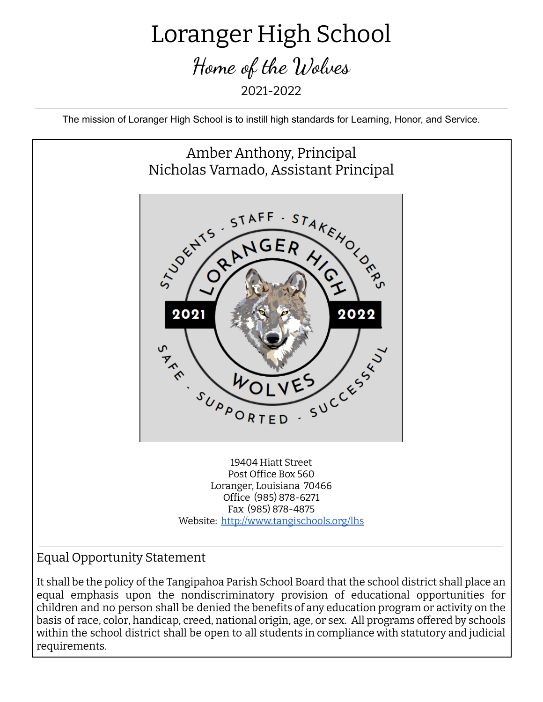## Loranger High School Home of the Wolves 2021-2022

The mission of Loranger High School is to instill high standards for Learning, Honor, and Service.



## Equal Opportunity Statement

It shall be the policy of the Tangipahoa Parish School Board that the school district shall place an equal emphasis upon the nondiscriminatory provision of educational opportunities for children and no person shall be denied the benefits of any education program or activity on the basis of race, color, handicap, creed, national origin, age, or sex. All programs offered by schools within the school district shall be open to all students in compliance with statutory and judicial requirements.